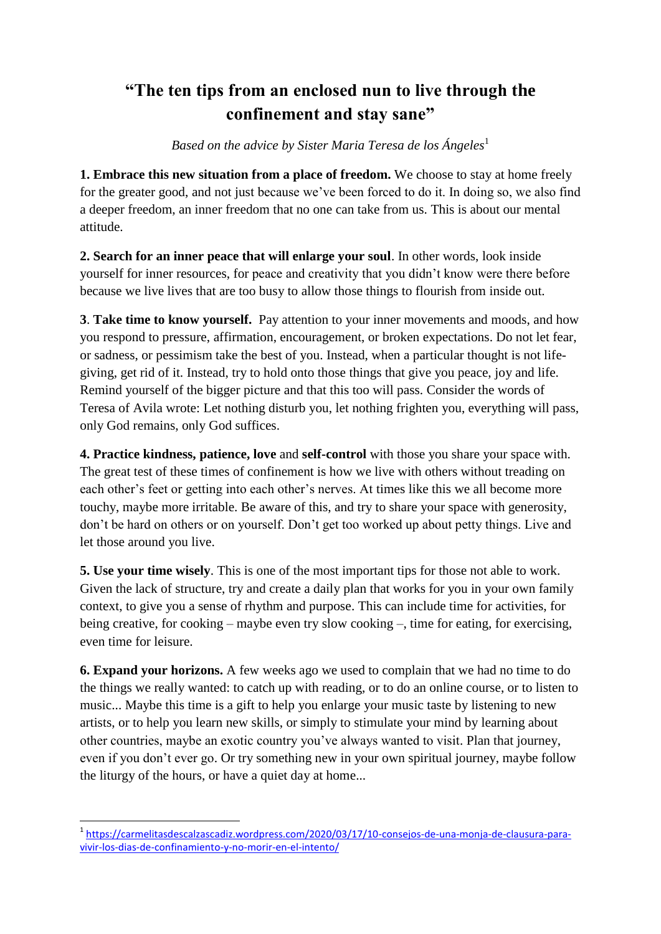## **"The ten tips from an enclosed nun to live through the confinement and stay sane"**

*Based on the advice by Sister Maria Teresa de los Ángeles* 1

**1. Embrace this new situation from a place of freedom.** We choose to stay at home freely for the greater good, and not just because we've been forced to do it. In doing so, we also find a deeper freedom, an inner freedom that no one can take from us. This is about our mental attitude.

**2. Search for an inner peace that will enlarge your soul**. In other words, look inside yourself for inner resources, for peace and creativity that you didn't know were there before because we live lives that are too busy to allow those things to flourish from inside out.

**3**. **Take time to know yourself.** Pay attention to your inner movements and moods, and how you respond to pressure, affirmation, encouragement, or broken expectations. Do not let fear, or sadness, or pessimism take the best of you. Instead, when a particular thought is not lifegiving, get rid of it. Instead, try to hold onto those things that give you peace, joy and life. Remind yourself of the bigger picture and that this too will pass. Consider the words of Teresa of Avila wrote: Let nothing disturb you, let nothing frighten you, everything will pass, only God remains, only God suffices.

**4. Practice kindness, patience, love** and **self-control** with those you share your space with. The great test of these times of confinement is how we live with others without treading on each other's feet or getting into each other's nerves. At times like this we all become more touchy, maybe more irritable. Be aware of this, and try to share your space with generosity, don't be hard on others or on yourself. Don't get too worked up about petty things. Live and let those around you live.

**5. Use your time wisely**. This is one of the most important tips for those not able to work. Given the lack of structure, try and create a daily plan that works for you in your own family context, to give you a sense of rhythm and purpose. This can include time for activities, for being creative, for cooking – maybe even try slow cooking –, time for eating, for exercising, even time for leisure.

**6. Expand your horizons.** A few weeks ago we used to complain that we had no time to do the things we really wanted: to catch up with reading, or to do an online course, or to listen to music... Maybe this time is a gift to help you enlarge your music taste by listening to new artists, or to help you learn new skills, or simply to stimulate your mind by learning about other countries, maybe an exotic country you've always wanted to visit. Plan that journey, even if you don't ever go. Or try something new in your own spiritual journey, maybe follow the liturgy of the hours, or have a quiet day at home...

 1 [https://carmelitasdescalzascadiz.wordpress.com/2020/03/17/10-consejos-de-una-monja-de-clausura-para](https://carmelitasdescalzascadiz.wordpress.com/2020/03/17/10-consejos-de-una-monja-de-clausura-para-vivir-los-dias-de-confinamiento-y-no-morir-en-el-intento/)[vivir-los-dias-de-confinamiento-y-no-morir-en-el-intento/](https://carmelitasdescalzascadiz.wordpress.com/2020/03/17/10-consejos-de-una-monja-de-clausura-para-vivir-los-dias-de-confinamiento-y-no-morir-en-el-intento/)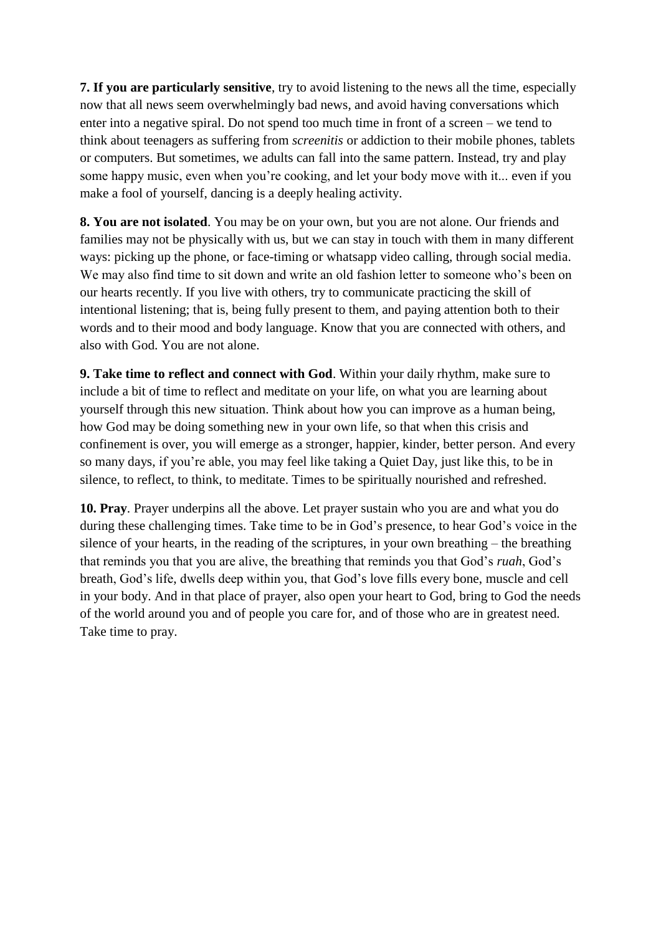**7. If you are particularly sensitive**, try to avoid listening to the news all the time, especially now that all news seem overwhelmingly bad news, and avoid having conversations which enter into a negative spiral. Do not spend too much time in front of a screen – we tend to think about teenagers as suffering from *screenitis* or addiction to their mobile phones, tablets or computers. But sometimes, we adults can fall into the same pattern. Instead, try and play some happy music, even when you're cooking, and let your body move with it... even if you make a fool of yourself, dancing is a deeply healing activity.

**8. You are not isolated**. You may be on your own, but you are not alone. Our friends and families may not be physically with us, but we can stay in touch with them in many different ways: picking up the phone, or face-timing or whatsapp video calling, through social media. We may also find time to sit down and write an old fashion letter to someone who's been on our hearts recently. If you live with others, try to communicate practicing the skill of intentional listening; that is, being fully present to them, and paying attention both to their words and to their mood and body language. Know that you are connected with others, and also with God. You are not alone.

**9. Take time to reflect and connect with God**. Within your daily rhythm, make sure to include a bit of time to reflect and meditate on your life, on what you are learning about yourself through this new situation. Think about how you can improve as a human being, how God may be doing something new in your own life, so that when this crisis and confinement is over, you will emerge as a stronger, happier, kinder, better person. And every so many days, if you're able, you may feel like taking a Quiet Day, just like this, to be in silence, to reflect, to think, to meditate. Times to be spiritually nourished and refreshed.

**10. Pray**. Prayer underpins all the above. Let prayer sustain who you are and what you do during these challenging times. Take time to be in God's presence, to hear God's voice in the silence of your hearts, in the reading of the scriptures, in your own breathing – the breathing that reminds you that you are alive, the breathing that reminds you that God's *ruah*, God's breath, God's life, dwells deep within you, that God's love fills every bone, muscle and cell in your body. And in that place of prayer, also open your heart to God, bring to God the needs of the world around you and of people you care for, and of those who are in greatest need. Take time to pray.